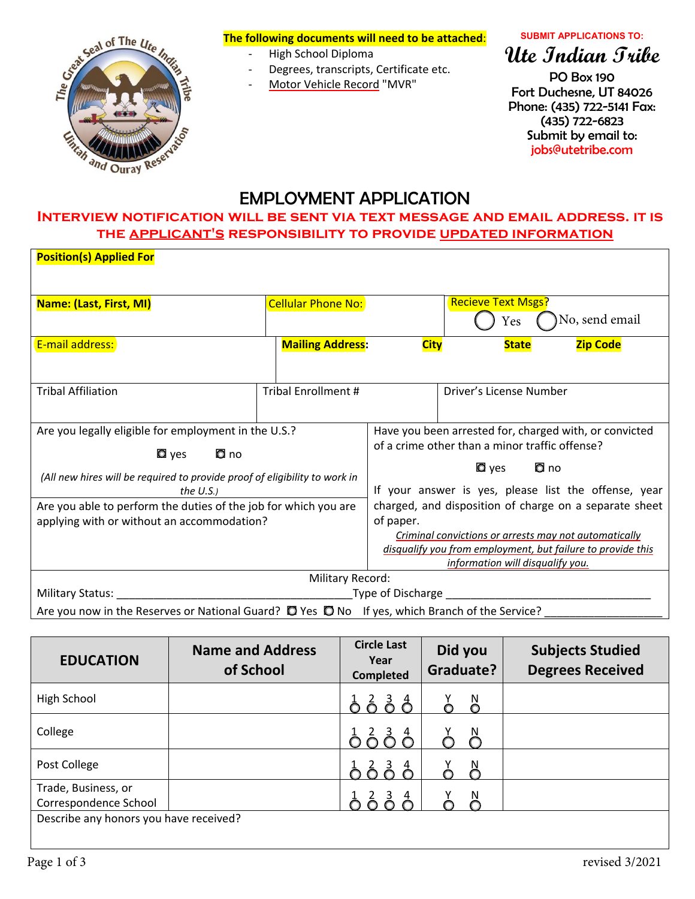

### **The following documents will need to be attached**:

- ‐ High School Diploma
- ‐ Degrees, transcripts, Certificate etc.
- ‐ Motor Vehicle Record "MVR"
- 

#### **SUBMIT APPLICATIONS TO:**

# **Ute Indian Tribe**

PO Box 190 Fort Duchesne, UT 84026 Phone: (435) 722-5141 Fax: (435) 722-6823 Submit by email to: jobs@utetribe.com

# EMPLOYMENT APPLICATION

## **Interview notification will be sent via text message and email address. it is the applicant's responsibility to provide updated information**

| <b>Position(s) Applied For</b>                                                                           |                            |                                                             |                                  |                                                       |
|----------------------------------------------------------------------------------------------------------|----------------------------|-------------------------------------------------------------|----------------------------------|-------------------------------------------------------|
|                                                                                                          |                            |                                                             |                                  |                                                       |
| Name: (Last, First, MI)                                                                                  | <b>Cellular Phone No:</b>  |                                                             | <b>Recieve Text Msgs?</b>        |                                                       |
|                                                                                                          |                            |                                                             | Yes                              | No, send email                                        |
| E-mail address:                                                                                          | <b>Mailing Address:</b>    | <b>City</b>                                                 | <b>State</b>                     | <b>Zip Code</b>                                       |
|                                                                                                          |                            |                                                             |                                  |                                                       |
| <b>Tribal Affiliation</b>                                                                                | <b>Tribal Enrollment #</b> |                                                             | Driver's License Number          |                                                       |
|                                                                                                          |                            |                                                             |                                  |                                                       |
| Are you legally eligible for employment in the U.S.?                                                     |                            | Have you been arrested for, charged with, or convicted      |                                  |                                                       |
| <b>Q</b> yes <b>Q</b> no                                                                                 |                            | of a crime other than a minor traffic offense?              |                                  |                                                       |
|                                                                                                          |                            | Q no<br>$\blacksquare$ yes                                  |                                  |                                                       |
| (All new hires will be required to provide proof of eligibility to work in<br>the $U.S.$ )               |                            | If your answer is yes, please list the offense, year        |                                  |                                                       |
| Are you able to perform the duties of the job for which you are                                          |                            | charged, and disposition of charge on a separate sheet      |                                  |                                                       |
| applying with or without an accommodation?                                                               |                            | of paper.                                                   |                                  |                                                       |
|                                                                                                          |                            |                                                             |                                  | Criminal convictions or arrests may not automatically |
|                                                                                                          |                            | disqualify you from employment, but failure to provide this |                                  |                                                       |
|                                                                                                          |                            |                                                             | information will disqualify you. |                                                       |
| <b>Military Record:</b>                                                                                  |                            |                                                             |                                  |                                                       |
| Military Status: Type of Discharge Theory and Military Status: Type of Discharge                         |                            |                                                             |                                  |                                                       |
| Are you now in the Reserves or National Guard? $\Box$ Yes $\Box$ No If yes, which Branch of the Service? |                            |                                                             |                                  |                                                       |

| <b>EDUCATION</b>                             | <b>Name and Address</b><br>of School | <b>Circle Last</b><br>Year<br><b>Completed</b> | Did you<br>Graduate? | <b>Subjects Studied</b><br><b>Degrees Received</b> |
|----------------------------------------------|--------------------------------------|------------------------------------------------|----------------------|----------------------------------------------------|
| High School                                  |                                      | $\frac{1}{6}$ $\frac{2}{6}$ $\frac{3}{6}$      | $\delta$             |                                                    |
| College                                      |                                      |                                                |                      |                                                    |
| Post College                                 |                                      |                                                |                      |                                                    |
| Trade, Business, or<br>Correspondence School |                                      |                                                |                      |                                                    |
| Describe any honors you have received?       |                                      |                                                |                      |                                                    |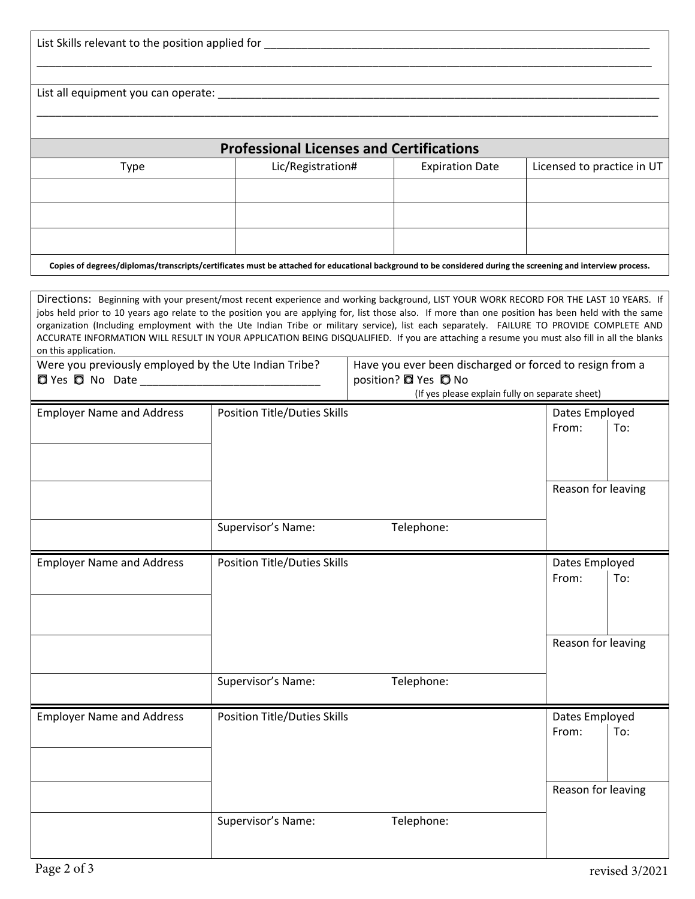| List Skills relevant to the position applied for the contract of the contract of the contract of the contract of the contract of the contract of the contract of the contract of the contract of the contract of the contract                                                                                                                                                                                                                                                                                                                                                                                    |                                                 |  |                        |                         |                            |
|------------------------------------------------------------------------------------------------------------------------------------------------------------------------------------------------------------------------------------------------------------------------------------------------------------------------------------------------------------------------------------------------------------------------------------------------------------------------------------------------------------------------------------------------------------------------------------------------------------------|-------------------------------------------------|--|------------------------|-------------------------|----------------------------|
|                                                                                                                                                                                                                                                                                                                                                                                                                                                                                                                                                                                                                  |                                                 |  |                        |                         |                            |
|                                                                                                                                                                                                                                                                                                                                                                                                                                                                                                                                                                                                                  | <b>Professional Licenses and Certifications</b> |  |                        |                         |                            |
| <b>Type</b>                                                                                                                                                                                                                                                                                                                                                                                                                                                                                                                                                                                                      | Lic/Registration#                               |  | <b>Expiration Date</b> |                         | Licensed to practice in UT |
|                                                                                                                                                                                                                                                                                                                                                                                                                                                                                                                                                                                                                  |                                                 |  |                        |                         |                            |
|                                                                                                                                                                                                                                                                                                                                                                                                                                                                                                                                                                                                                  |                                                 |  |                        |                         |                            |
|                                                                                                                                                                                                                                                                                                                                                                                                                                                                                                                                                                                                                  |                                                 |  |                        |                         |                            |
| Copies of degrees/diplomas/transcripts/certificates must be attached for educational background to be considered during the screening and interview process.                                                                                                                                                                                                                                                                                                                                                                                                                                                     |                                                 |  |                        |                         |                            |
| Directions: Beginning with your present/most recent experience and working background, LIST YOUR WORK RECORD FOR THE LAST 10 YEARS. If<br>jobs held prior to 10 years ago relate to the position you are applying for, list those also. If more than one position has been held with the same<br>organization (Including employment with the Ute Indian Tribe or military service), list each separately. FAILURE TO PROVIDE COMPLETE AND<br>ACCURATE INFORMATION WILL RESULT IN YOUR APPLICATION BEING DISQUALIFIED. If you are attaching a resume you must also fill in all the blanks<br>on this application. |                                                 |  |                        |                         |                            |
| Were you previously employed by the Ute Indian Tribe?<br>Have you ever been discharged or forced to resign from a<br>position? 2 Yes 0 No<br><b>D</b> Yes <b>D</b> No Date _________________________________<br>(If yes please explain fully on separate sheet)                                                                                                                                                                                                                                                                                                                                                  |                                                 |  |                        |                         |                            |
| <b>Employer Name and Address</b>                                                                                                                                                                                                                                                                                                                                                                                                                                                                                                                                                                                 | <b>Position Title/Duties Skills</b>             |  |                        | Dates Employed          |                            |
|                                                                                                                                                                                                                                                                                                                                                                                                                                                                                                                                                                                                                  |                                                 |  |                        | From:                   | To:                        |
|                                                                                                                                                                                                                                                                                                                                                                                                                                                                                                                                                                                                                  |                                                 |  |                        |                         | Reason for leaving         |
|                                                                                                                                                                                                                                                                                                                                                                                                                                                                                                                                                                                                                  | Supervisor's Name:                              |  | Telephone:             |                         |                            |
| <b>Employer Name and Address</b>                                                                                                                                                                                                                                                                                                                                                                                                                                                                                                                                                                                 | <b>Position Title/Duties Skills</b>             |  |                        | Dates Employed          |                            |
|                                                                                                                                                                                                                                                                                                                                                                                                                                                                                                                                                                                                                  |                                                 |  |                        | From:                   | To:                        |
|                                                                                                                                                                                                                                                                                                                                                                                                                                                                                                                                                                                                                  |                                                 |  |                        |                         | Reason for leaving         |
|                                                                                                                                                                                                                                                                                                                                                                                                                                                                                                                                                                                                                  | Supervisor's Name:                              |  | Telephone:             |                         |                            |
| <b>Employer Name and Address</b>                                                                                                                                                                                                                                                                                                                                                                                                                                                                                                                                                                                 | <b>Position Title/Duties Skills</b>             |  |                        | Dates Employed<br>From: | To:                        |
|                                                                                                                                                                                                                                                                                                                                                                                                                                                                                                                                                                                                                  | Supervisor's Name:                              |  | Telephone:             |                         | Reason for leaving         |
|                                                                                                                                                                                                                                                                                                                                                                                                                                                                                                                                                                                                                  |                                                 |  |                        |                         |                            |